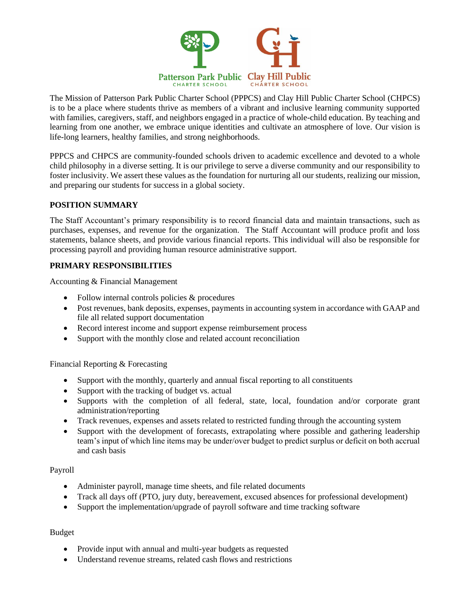

The Mission of Patterson Park Public Charter School (PPPCS) and Clay Hill Public Charter School (CHPCS) is to be a place where students thrive as members of a vibrant and inclusive learning community supported with families, caregivers, staff, and neighbors engaged in a practice of whole-child education. By teaching and learning from one another, we embrace unique identities and cultivate an atmosphere of love. Our vision is life-long learners, healthy families, and strong neighborhoods.

PPPCS and CHPCS are community-founded schools driven to academic excellence and devoted to a whole child philosophy in a diverse setting. It is our privilege to serve a diverse community and our responsibility to foster inclusivity. We assert these values as the foundation for nurturing all our students, realizing our mission, and preparing our students for success in a global society.

# **POSITION SUMMARY**

The Staff Accountant's primary responsibility is to record financial data and maintain transactions, such as purchases, expenses, and revenue for the organization. The Staff Accountant will produce profit and loss statements, balance sheets, and provide various financial reports. This individual will also be responsible for processing payroll and providing human resource administrative support.

# **PRIMARY RESPONSIBILITIES**

Accounting & Financial Management

- Follow internal controls policies & procedures
- Post revenues, bank deposits, expenses, payments in accounting system in accordance with GAAP and file all related support documentation
- Record interest income and support expense reimbursement process
- Support with the monthly close and related account reconciliation

Financial Reporting & Forecasting

- Support with the monthly, quarterly and annual fiscal reporting to all constituents
- Support with the tracking of budget vs. actual
- Supports with the completion of all federal, state, local, foundation and/or corporate grant administration/reporting
- Track revenues, expenses and assets related to restricted funding through the accounting system
- Support with the development of forecasts, extrapolating where possible and gathering leadership team's input of which line items may be under/over budget to predict surplus or deficit on both accrual and cash basis

#### Payroll

- Administer payroll, manage time sheets, and file related documents
- Track all days off (PTO, jury duty, bereavement, excused absences for professional development)
- Support the implementation/upgrade of payroll software and time tracking software

# Budget

- Provide input with annual and multi-year budgets as requested
- Understand revenue streams, related cash flows and restrictions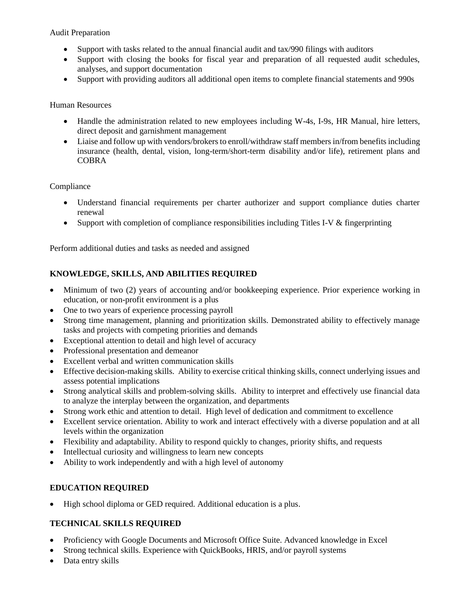Audit Preparation

- Support with tasks related to the annual financial audit and tax/990 filings with auditors
- Support with closing the books for fiscal year and preparation of all requested audit schedules, analyses, and support documentation
- Support with providing auditors all additional open items to complete financial statements and 990s

## Human Resources

- Handle the administration related to new employees including W-4s, I-9s, HR Manual, hire letters, direct deposit and garnishment management
- Liaise and follow up with vendors/brokers to enroll/withdraw staff members in/from benefits including insurance (health, dental, vision, long-term/short-term disability and/or life), retirement plans and COBRA

### Compliance

- Understand financial requirements per charter authorizer and support compliance duties charter renewal
- Support with completion of compliance responsibilities including Titles I-V & fingerprinting

Perform additional duties and tasks as needed and assigned

# **KNOWLEDGE, SKILLS, AND ABILITIES REQUIRED**

- Minimum of two (2) years of accounting and/or bookkeeping experience. Prior experience working in education, or non-profit environment is a plus
- One to two years of experience processing payroll
- Strong time management, planning and prioritization skills. Demonstrated ability to effectively manage tasks and projects with competing priorities and demands
- Exceptional attention to detail and high level of accuracy
- Professional presentation and demeanor
- Excellent verbal and written communication skills
- Effective decision-making skills. Ability to exercise critical thinking skills, connect underlying issues and assess potential implications
- Strong analytical skills and problem-solving skills. Ability to interpret and effectively use financial data to analyze the interplay between the organization, and departments
- Strong work ethic and attention to detail. High level of dedication and commitment to excellence
- Excellent service orientation. Ability to work and interact effectively with a diverse population and at all levels within the organization
- Flexibility and adaptability. Ability to respond quickly to changes, priority shifts, and requests
- Intellectual curiosity and willingness to learn new concepts
- Ability to work independently and with a high level of autonomy

# **EDUCATION REQUIRED**

• High school diploma or GED required. Additional education is a plus.

# **TECHNICAL SKILLS REQUIRED**

- Proficiency with Google Documents and Microsoft Office Suite. Advanced knowledge in Excel
- Strong technical skills. Experience with QuickBooks, HRIS, and/or payroll systems
- Data entry skills